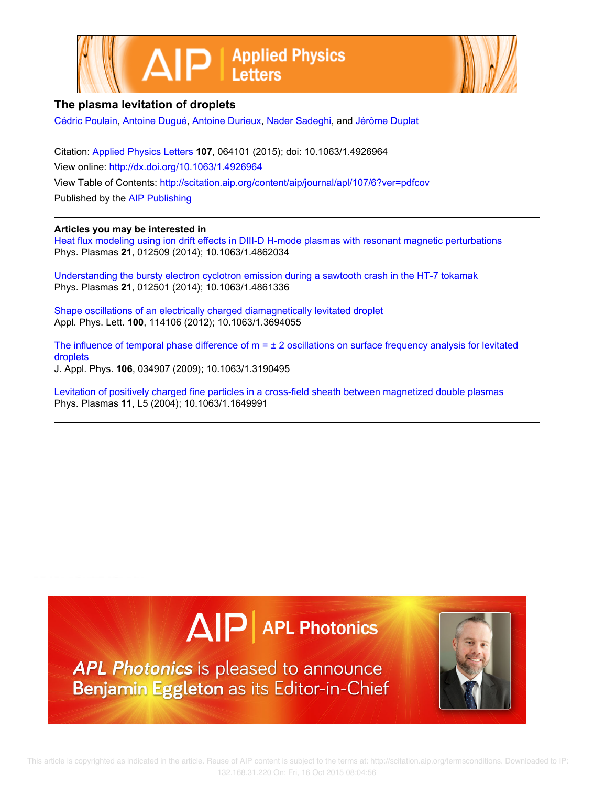



## The plasma levitation of droplets

Cédric Poulain, Antoine Dugué, Antoine Durieux, Nader Sadeghi, and Jérôme Duplat

Citation: Applied Physics Letters 107, 064101 (2015); doi: 10.1063/1.4926964 View online: http://dx.doi.org/10.1063/1.4926964 View Table of Contents: http://scitation.aip.org/content/aip/journal/apl/107/6?ver=pdfcov Published by the AIP Publishing

## Articles you may be interested in

Heat flux modeling using ion drift effects in DIII-D H-mode plasmas with resonant magnetic perturbations Phys. Plasmas 21, 012509 (2014); 10.1063/1.4862034

Understanding the bursty electron cyclotron emission during a sawtooth crash in the HT-7 tokamak Phys. Plasmas 21, 012501 (2014); 10.1063/1.4861336

Shape oscillations of an electrically charged diamagnetically levitated droplet Appl. Phys. Lett. 100, 114106 (2012); 10.1063/1.3694055

The influence of temporal phase difference of  $m = \pm 2$  oscillations on surface frequency analysis for levitated droplets J. Appl. Phys. 106, 034907 (2009); 10.1063/1.3190495

Levitation of positively charged fine particles in a cross-field sheath between magnetized double plasmas Phys. Plasmas 11, L5 (2004); 10.1063/1.1649991



**APL Photonics** is pleased to announce Benjamin Eggleton as its Editor-in-Chief

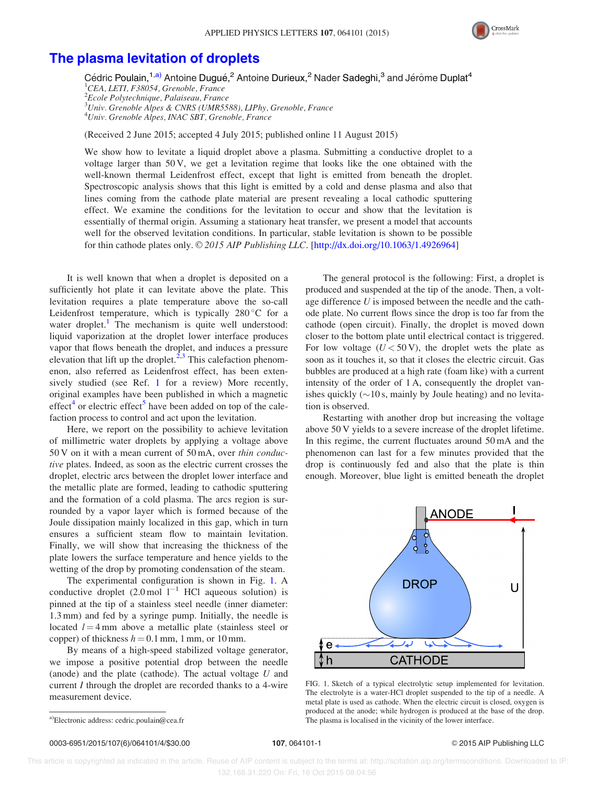

## [The plasma levitation of droplets](http://dx.doi.org/10.1063/1.4926964)

Cédric Poulain,<sup>1,a)</sup> Antoine Dugué,<sup>2</sup> Antoine Durieux,<sup>2</sup> Nader Sadeghi,<sup>3</sup> and Jérôme Duplat<sup>4</sup> <sup>1</sup>CEA, LETI, F38054, Grenoble, France 2 Ecole Polytechnique, Palaiseau, France 3 Univ. Grenoble Alpes & CNRS (UMR5588), LIPhy, Grenoble, France 4 Univ. Grenoble Alpes, INAC SBT, Grenoble, France

(Received 2 June 2015; accepted 4 July 2015; published online 11 August 2015)

We show how to levitate a liquid droplet above a plasma. Submitting a conductive droplet to a voltage larger than 50 V, we get a levitation regime that looks like the one obtained with the well-known thermal Leidenfrost effect, except that light is emitted from beneath the droplet. Spectroscopic analysis shows that this light is emitted by a cold and dense plasma and also that lines coming from the cathode plate material are present revealing a local cathodic sputtering effect. We examine the conditions for the levitation to occur and show that the levitation is essentially of thermal origin. Assuming a stationary heat transfer, we present a model that accounts well for the observed levitation conditions. In particular, stable levitation is shown to be possible for thin cathode plates only.  $\mathcal{O}$  2015 AIP Publishing LLC. [[http://dx.doi.org/10.1063/1.4926964\]](http://dx.doi.org/10.1063/1.4926964)

It is well known that when a droplet is deposited on a sufficiently hot plate it can levitate above the plate. This levitation requires a plate temperature above the so-call Leidenfrost temperature, which is typically  $280^{\circ}$ C for a water droplet.<sup>1</sup> The mechanism is quite well understood: liquid vaporization at the droplet lower interface produces vapor that flows beneath the droplet, and induces a pressure elevation that lift up the droplet. $2,3$  This calefaction phenomenon, also referred as Leidenfrost effect, has been extensively studied (see Ref. [1](#page-4-0) for a review) More recently, original examples have been published in which a magnetic effect<sup>[4](#page-4-0)</sup> or electric effect<sup>[5](#page-4-0)</sup> have been added on top of the calefaction process to control and act upon the levitation.

Here, we report on the possibility to achieve levitation of millimetric water droplets by applying a voltage above 50 V on it with a mean current of 50 mA, over thin conductive plates. Indeed, as soon as the electric current crosses the droplet, electric arcs between the droplet lower interface and the metallic plate are formed, leading to cathodic sputtering and the formation of a cold plasma. The arcs region is surrounded by a vapor layer which is formed because of the Joule dissipation mainly localized in this gap, which in turn ensures a sufficient steam flow to maintain levitation. Finally, we will show that increasing the thickness of the plate lowers the surface temperature and hence yields to the wetting of the drop by promoting condensation of the steam.

The experimental configuration is shown in Fig. 1. A conductive droplet  $(2.0 \text{ mol } 1^{-1} \text{ HCl}$  aqueous solution) is pinned at the tip of a stainless steel needle (inner diameter: 1.3 mm) and fed by a syringe pump. Initially, the needle is located  $l = 4$  mm above a metallic plate (stainless steel or copper) of thickness  $h = 0.1$  mm, 1 mm, or 10 mm.

By means of a high-speed stabilized voltage generator, we impose a positive potential drop between the needle (anode) and the plate (cathode). The actual voltage  $U$  and current I through the droplet are recorded thanks to a 4-wire measurement device.

The general protocol is the following: First, a droplet is produced and suspended at the tip of the anode. Then, a voltage difference  $U$  is imposed between the needle and the cathode plate. No current flows since the drop is too far from the cathode (open circuit). Finally, the droplet is moved down closer to the bottom plate until electrical contact is triggered. For low voltage  $(U < 50 V)$ , the droplet wets the plate as soon as it touches it, so that it closes the electric circuit. Gas bubbles are produced at a high rate (foam like) with a current intensity of the order of 1 A, consequently the droplet vanishes quickly  $(\sim 10 \text{ s}, \text{main}$  by Joule heating) and no levitation is observed.

Restarting with another drop but increasing the voltage above 50 V yields to a severe increase of the droplet lifetime. In this regime, the current fluctuates around 50 mA and the phenomenon can last for a few minutes provided that the drop is continuously fed and also that the plate is thin enough. Moreover, blue light is emitted beneath the droplet



FIG. 1. Sketch of a typical electrolytic setup implemented for levitation. The electrolyte is a water-HCl droplet suspended to the tip of a needle. A metal plate is used as cathode. When the electric circuit is closed, oxygen is produced at the anode; while hydrogen is produced at the base of the drop. a)Electronic address: [cedric.poulain@cea.fr](mailto:cedric.poulain@cea.fr) The plasma is localised in the vicinity of the lower interface.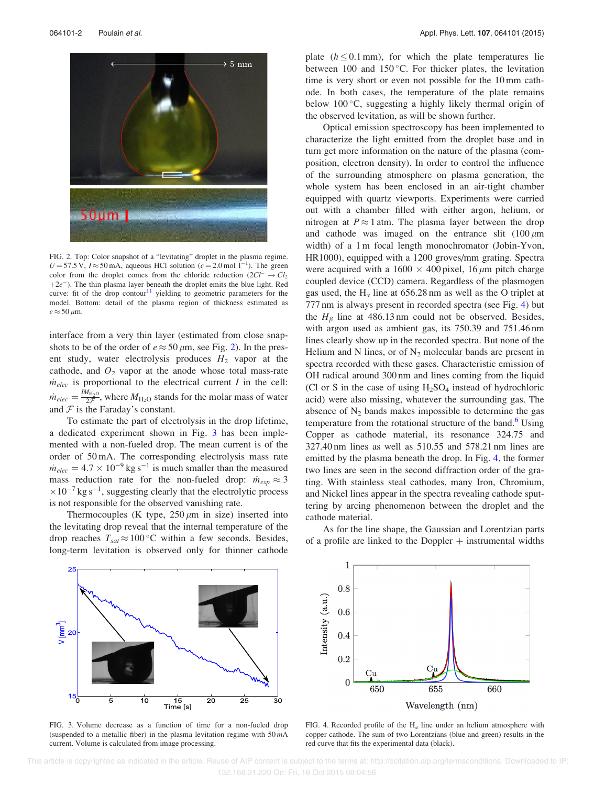<span id="page-2-0"></span>

FIG. 2. Top: Color snapshot of a "levitating" droplet in the plasma regime.  $U = 57.5$  V,  $I \approx 50$  mA, aqueous HCl solution ( $c = 2.0$  mol  $1^{-1}$ ). The green color from the droplet comes from the chloride reduction  $(2Cl^{-} \rightarrow Cl_{2})$  $+2e^{-}$ ). The thin plasma layer beneath the droplet emits the blue light. Red curve: fit of the drop contour<sup>[11](#page-4-0)</sup> yielding to geometric parameters for the model. Bottom: detail of the plasma region of thickness estimated as  $e \approx 50 \,\mu \text{m}$ .

interface from a very thin layer (estimated from close snapshots to be of the order of  $e \approx 50 \,\mu\text{m}$ , see Fig. 2). In the present study, water electrolysis produces  $H_2$  vapor at the cathode, and  $O_2$  vapor at the anode whose total mass-rate  $\dot{m}_{elec}$  is proportional to the electrical current I in the cell:  $\dot{m}_{elec} = \frac{M_{\text{H}_2\text{O}}}{2\mathcal{F}}$ , where  $M_{\text{H}_2\text{O}}$  stands for the molar mass of water and  $\mathcal F$  is the Faraday's constant.

To estimate the part of electrolysis in the drop lifetime, a dedicated experiment shown in Fig. 3 has been implemented with a non-fueled drop. The mean current is of the order of 50 mA. The corresponding electrolysis mass rate  $\dot{m}_{elec} = 4.7 \times 10^{-9}$  kg s<sup>-1</sup> is much smaller than the measured mass reduction rate for the non-fueled drop:  $\dot{m}_{exp} \approx 3$  $\times 10^{-7}$  kg s<sup>-1</sup>, suggesting clearly that the electrolytic process is not responsible for the observed vanishing rate.

Thermocouples (K type,  $250 \mu m$  in size) inserted into the levitating drop reveal that the internal temperature of the drop reaches  $T_{sat} \approx 100 \degree C$  within a few seconds. Besides, long-term levitation is observed only for thinner cathode

As for the line shape, the Gaussian and Lorentzian parts of a profile are linked to the Doppler  $+$  instrumental widths



FIG. 3. Volume decrease as a function of time for a non-fueled drop (suspended to a metallic fiber) in the plasma levitation regime with  $50 \, mA$ current. Volume is calculated from image processing.



and cathode was imaged on the entrance slit  $(100 \,\mu m)$ width) of a 1 m focal length monochromator (Jobin-Yvon, HR1000), equipped with a 1200 groves/mm grating. Spectra were acquired with a  $1600 \times 400$  pixel, 16  $\mu$ m pitch charge coupled device (CCD) camera. Regardless of the plasmogen gas used, the H<sub> $\alpha$ </sub> line at 656.28 nm as well as the O triplet at 777 nm is always present in recorded spectra (see Fig. 4) but the  $H_\beta$  line at 486.13 nm could not be observed. Besides, with argon used as ambient gas, its 750.39 and 751.46 nm lines clearly show up in the recorded spectra. But none of the Helium and N lines, or of  $N_2$  molecular bands are present in spectra recorded with these gases. Characteristic emission of OH radical around 300 nm and lines coming from the liquid (Cl or S in the case of using  $H_2SO_4$  instead of hydrochloric acid) were also missing, whatever the surrounding gas. The absence of  $N_2$  bands makes impossible to determine the gas temperature from the rotational structure of the band.<sup>[6](#page-4-0)</sup> Using Copper as cathode material, its resonance 324.75 and 327.40 nm lines as well as 510.55 and 578.21 nm lines are emitted by the plasma beneath the drop. In Fig. 4, the former two lines are seen in the second diffraction order of the grating. With stainless steal cathodes, many Iron, Chromium, and Nickel lines appear in the spectra revealing cathode sputtering by arcing phenomenon between the droplet and the cathode material.



FIG. 4. Recorded profile of the  $H_{\alpha}$  line under an helium atmosphere with copper cathode. The sum of two Lorentzians (blue and green) results in the red curve that fits the experimental data (black).

plate  $(h \le 0.1 \text{ mm})$ , for which the plate temperatures lie between 100 and 150 $^{\circ}$ C. For thicker plates, the levitation time is very short or even not possible for the 10 mm cathode. In both cases, the temperature of the plate remains below  $100^{\circ}$ C, suggesting a highly likely thermal origin of

Optical emission spectroscopy has been implemented to characterize the light emitted from the droplet base and in turn get more information on the nature of the plasma (composition, electron density). In order to control the influence of the surrounding atmosphere on plasma generation, the whole system has been enclosed in an air-tight chamber

the observed levitation, as will be shown further.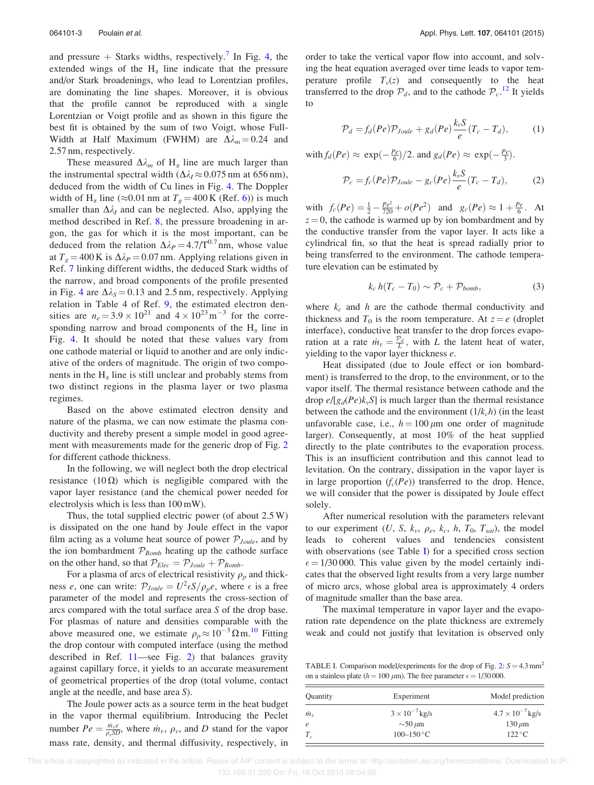and pressure  $+$  Starks widths, respectively.<sup>[7](#page-4-0)</sup> In Fig. [4](#page-2-0), the extended wings of the  $H_{\alpha}$  line indicate that the pressure and/or Stark broadenings, who lead to Lorentzian profiles, are dominating the line shapes. Moreover, it is obvious that the profile cannot be reproduced with a single Lorentzian or Voigt profile and as shown in this figure the best fit is obtained by the sum of two Voigt, whose Full-Width at Half Maximum (FWHM) are  $\Delta \lambda_m = 0.24$  and 2.57 nm, respectively.

These measured  $\Delta\lambda_m$  of H<sub>α</sub> line are much larger than the instrumental spectral width ( $\Delta \lambda_I \approx 0.075$  nm at 656 nm), deduced from the width of Cu lines in Fig. [4.](#page-2-0) The Doppler width of H<sub>a</sub> line ( $\approx$ 0.01 nm at T<sub>g</sub> = 400 K (Ref. [6\)](#page-4-0)) is much smaller than  $\Delta \lambda_I$  and can be neglected. Also, applying the method described in Ref. [8](#page-4-0), the pressure broadening in argon, the gas for which it is the most important, can be deduced from the relation  $\Delta \lambda_P = 4.7/T^{0.7}$  nm, whose value at  $T_g = 400 \text{ K}$  is  $\Delta \lambda_P = 0.07 \text{ nm}$ . Applying relations given in Ref. [7](#page-4-0) linking different widths, the deduced Stark widths of the narrow, and broad components of the profile presented in Fig. [4](#page-2-0) are  $\Delta \lambda_s = 0.13$  and 2.5 nm, respectively. Applying relation in Table 4 of Ref. [9,](#page-4-0) the estimated electron densities are  $n_e = 3.9 \times 10^{21}$  and  $4 \times 10^{23}$  m<sup>-3</sup> for the corresponding narrow and broad components of the  $H_{\alpha}$  line in Fig. [4.](#page-2-0) It should be noted that these values vary from one cathode material or liquid to another and are only indicative of the orders of magnitude. The origin of two components in the  $H_{\alpha}$  line is still unclear and probably stems from two distinct regions in the plasma layer or two plasma regimes.

Based on the above estimated electron density and nature of the plasma, we can now estimate the plasma conductivity and thereby present a simple model in good agreement with measurements made for the generic drop of Fig. [2](#page-2-0) for different cathode thickness.

In the following, we will neglect both the drop electrical resistance (10 $\Omega$ ) which is negligible compared with the vapor layer resistance (and the chemical power needed for electrolysis which is less than 100 mW).

Thus, the total supplied electric power (of about 2.5 W) is dissipated on the one hand by Joule effect in the vapor film acting as a volume heat source of power  $P_{Joule}$ , and by the ion bombardment  $P_{Bomb}$  heating up the cathode surface on the other hand, so that  $P_{Elec} = P_{Joule} + P_{Bomb}$ .

For a plasma of arcs of electrical resistivity  $\rho_p$  and thickness e, one can write:  $\mathcal{P}_{Joule} = U^2 \epsilon S / \rho_p e$ , where  $\epsilon$  is a free parameter of the model and represents the cross-section of arcs compared with the total surface area S of the drop base. For plasmas of nature and densities comparable with the above measured one, we estimate  $\rho_p \approx 10^{-3} \Omega \text{ m}^{10}$  $\rho_p \approx 10^{-3} \Omega \text{ m}^{10}$  $\rho_p \approx 10^{-3} \Omega \text{ m}^{10}$  Fitting the drop contour with computed interface (using the method described in Ref. [11](#page-4-0)—see Fig. [2\)](#page-2-0) that balances gravity against capillary force, it yields to an accurate measurement of geometrical properties of the drop (total volume, contact angle at the needle, and base area S).

The Joule power acts as a source term in the heat budget in the vapor thermal equilibrium. Introducing the Peclet number  $Pe = \frac{\dot{m}_v e}{\rho_v SD}$ , where  $\dot{m}_v$ ,  $\rho_v$ , and D stand for the vapor mass rate, density, and thermal diffusivity, respectively, in order to take the vertical vapor flow into account, and solving the heat equation averaged over time leads to vapor temperature profile  $T_v(z)$  and consequently to the heat transferred to the drop  $\mathcal{P}_d$ , and to the cathode  $\mathcal{P}_c$ .<sup>[12](#page-4-0)</sup> It yields to

$$
\mathcal{P}_d = f_d(Pe)\mathcal{P}_{Joule} + g_d(Pe)\frac{k_v S}{e}(T_c - T_d),\tag{1}
$$

with  $f_d(Pe) \approx \exp(-\frac{Pe}{6})/2$ . and  $g_d(Pe) \approx \exp(-\frac{Pe}{3})$ .

$$
\mathcal{P}_c = f_c(Pe)\mathcal{P}_{Joule} - g_c(Pe)\frac{k_v S}{e}(T_c - T_d),\tag{2}
$$

with  $f_c(Pe) = \frac{1}{2} - \frac{Pe^2}{720} + o(Pe^2)$  and  $g_c(Pe) \approx 1 + \frac{Pe}{6}$ . At  $z = 0$ , the cathode is warmed up by ion bombardment and by the conductive transfer from the vapor layer. It acts like a cylindrical fin, so that the heat is spread radially prior to being transferred to the environment. The cathode temperature elevation can be estimated by

$$
k_c h(T_c - T_0) \sim \mathcal{P}_c + \mathcal{P}_{\text{bomb}},\tag{3}
$$

where  $k_c$  and h are the cathode thermal conductivity and thickness and  $T_0$  is the room temperature. At  $z = e$  (droplet interface), conductive heat transfer to the drop forces evaporation at a rate  $\dot{m}_v = \frac{p_d}{L}$ , with L the latent heat of water, yielding to the vapor layer thickness e.

Heat dissipated (due to Joule effect or ion bombardment) is transferred to the drop, to the environment, or to the vapor itself. The thermal resistance between cathode and the drop  $e/[g_d(Pe)k_vS]$  is much larger than the thermal resistance between the cathode and the environment  $(1/k<sub>c</sub>h)$  (in the least unfavorable case, i.e.,  $h = 100 \mu m$  one order of magnitude larger). Consequently, at most 10% of the heat supplied directly to the plate contributes to the evaporation process. This is an insufficient contribution and this cannot lead to levitation. On the contrary, dissipation in the vapor layer is in large proportion  $(f_c(Pe))$  transferred to the drop. Hence, we will consider that the power is dissipated by Joule effect solely.

After numerical resolution with the parameters relevant to our experiment  $(U, S, k_{v}, \rho_{e}, k_{c}, h, T_{0}, T_{sat})$ , the model leads to coherent values and tendencies consistent with observations (see Table I) for a specified cross section  $\epsilon = 1/30 000$ . This value given by the model certainly indicates that the observed light results from a very large number of micro arcs, whose global area is approximately 4 orders of magnitude smaller than the base area.

The maximal temperature in vapor layer and the evaporation rate dependence on the plate thickness are extremely weak and could not justify that levitation is observed only

TABLE I. Comparison model/experiments for the drop of Fig. [2:](#page-2-0)  $S = 4.3$  mm<sup>2</sup> on a stainless plate ( $h = 100 \ \mu m$ ). The free parameter  $\epsilon = 1/30 000$ .

| Quantity   | Experiment              | Model prediction          |
|------------|-------------------------|---------------------------|
| $\dot m_v$ | $3 \times 10^{-7}$ kg/s | $4.7 \times 10^{-7}$ kg/s |
| e          | $\sim$ 50 $\mu$ m       | $130 \mu m$               |
| $T_c$      | $100 - 150$ °C          | $122^{\circ}$ C           |